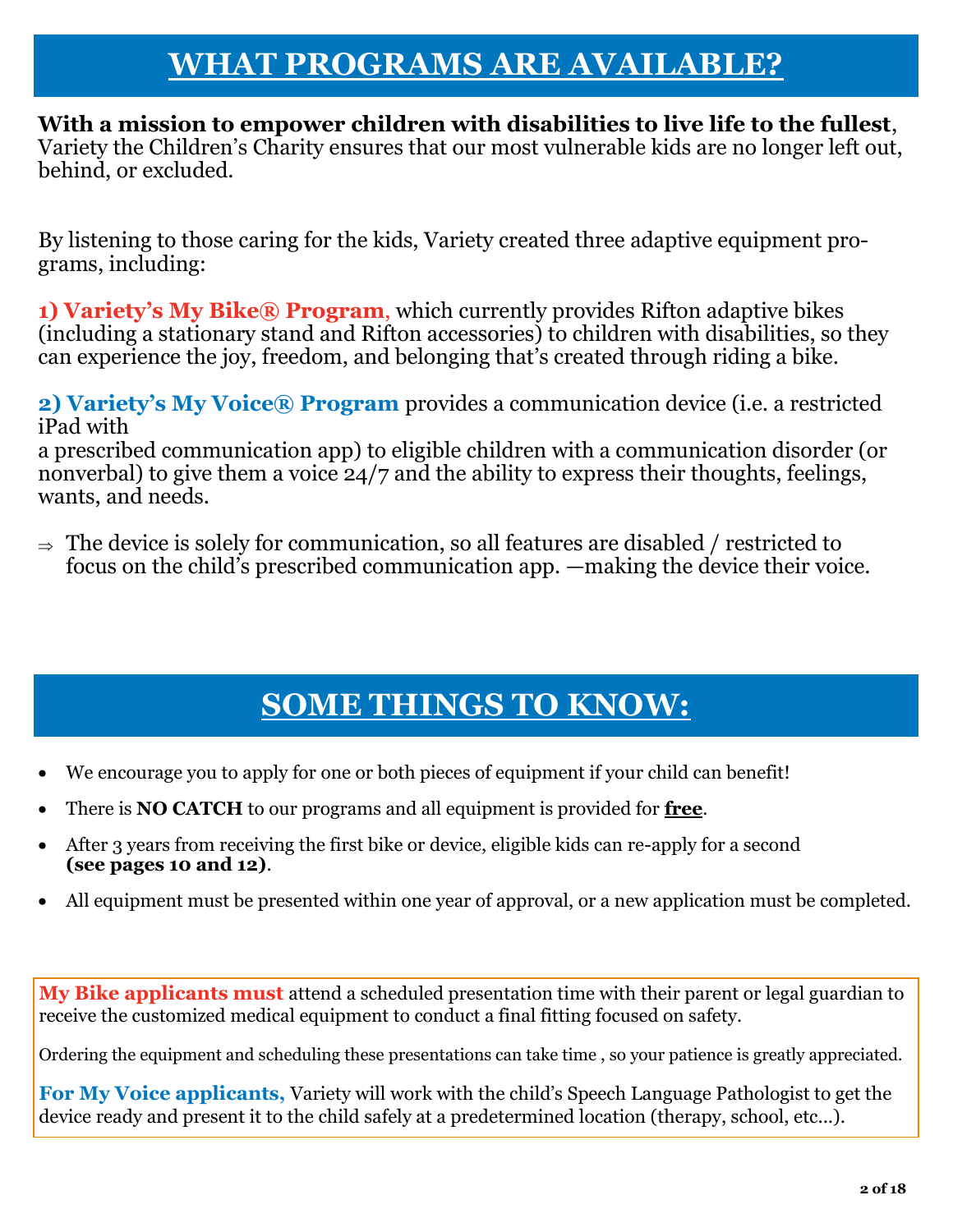## **WHAT PROGRAMS ARE AVAILABLE?**

#### **With a mission to empower children with disabilities to live life to the fullest**, Variety the Children's Charity ensures that our most vulnerable kids are no longer left out, behind, or excluded.

By listening to those caring for the kids, Variety created three adaptive equipment programs, including:

**1) Variety's My Bike® Program**, which currently provides Rifton adaptive bikes (including a stationary stand and Rifton accessories) to children with disabilities, so they can experience the joy, freedom, and belonging that's created through riding a bike.

**2) Variety's My Voice® Program** provides a communication device (i.e. a restricted iPad with

a prescribed communication app) to eligible children with a communication disorder (or nonverbal) to give them a voice 24/7 and the ability to express their thoughts, feelings, wants, and needs.

 $\Rightarrow$  The device is solely for communication, so all features are disabled / restricted to focus on the child's prescribed communication app. —making the device their voice.

### **SOME THINGS TO KNOW:**

- We encourage you to apply for one or both pieces of equipment if your child can benefit!
- There is **NO CATCH** to our programs and all equipment is provided for **free**.
- After 3 years from receiving the first bike or device, eligible kids can re-apply for a second **(see pages 10 and 12)**.
- All equipment must be presented within one year of approval, or a new application must be completed.

**My Bike applicants must** attend a scheduled presentation time with their parent or legal guardian to receive the customized medical equipment to conduct a final fitting focused on safety.

Ordering the equipment and scheduling these presentations can take time , so your patience is greatly appreciated.

**For My Voice applicants,** Variety will work with the child's Speech Language Pathologist to get the device ready and present it to the child safely at a predetermined location (therapy, school, etc...).